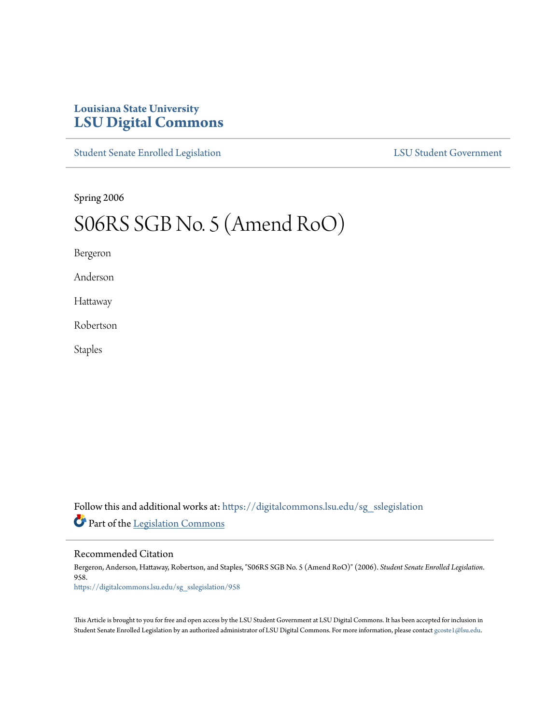## **Louisiana State University [LSU Digital Commons](https://digitalcommons.lsu.edu?utm_source=digitalcommons.lsu.edu%2Fsg_sslegislation%2F958&utm_medium=PDF&utm_campaign=PDFCoverPages)**

[Student Senate Enrolled Legislation](https://digitalcommons.lsu.edu/sg_sslegislation?utm_source=digitalcommons.lsu.edu%2Fsg_sslegislation%2F958&utm_medium=PDF&utm_campaign=PDFCoverPages) [LSU Student Government](https://digitalcommons.lsu.edu/sg?utm_source=digitalcommons.lsu.edu%2Fsg_sslegislation%2F958&utm_medium=PDF&utm_campaign=PDFCoverPages)

Spring 2006

# S06RS SGB No. 5 (Amend RoO)

Bergeron

Anderson

Hattaway

Robertson

Staples

Follow this and additional works at: [https://digitalcommons.lsu.edu/sg\\_sslegislation](https://digitalcommons.lsu.edu/sg_sslegislation?utm_source=digitalcommons.lsu.edu%2Fsg_sslegislation%2F958&utm_medium=PDF&utm_campaign=PDFCoverPages) Part of the [Legislation Commons](http://network.bepress.com/hgg/discipline/859?utm_source=digitalcommons.lsu.edu%2Fsg_sslegislation%2F958&utm_medium=PDF&utm_campaign=PDFCoverPages)

### Recommended Citation

Bergeron, Anderson, Hattaway, Robertson, and Staples, "S06RS SGB No. 5 (Amend RoO)" (2006). *Student Senate Enrolled Legislation*. 958. [https://digitalcommons.lsu.edu/sg\\_sslegislation/958](https://digitalcommons.lsu.edu/sg_sslegislation/958?utm_source=digitalcommons.lsu.edu%2Fsg_sslegislation%2F958&utm_medium=PDF&utm_campaign=PDFCoverPages)

This Article is brought to you for free and open access by the LSU Student Government at LSU Digital Commons. It has been accepted for inclusion in Student Senate Enrolled Legislation by an authorized administrator of LSU Digital Commons. For more information, please contact [gcoste1@lsu.edu.](mailto:gcoste1@lsu.edu)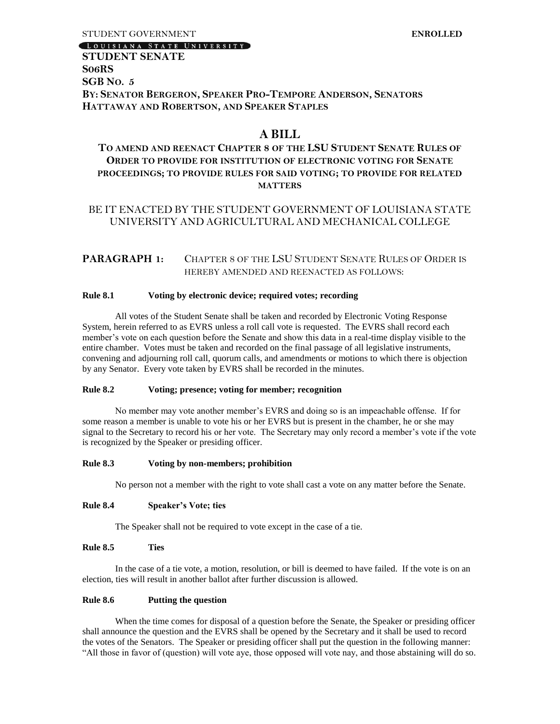#### LOUISIANA STATE UNIVERSITY

## **STUDENT SENATE S06RS SGB NO. 5 BY: SENATOR BERGERON, SPEAKER PRO-TEMPORE ANDERSON, SENATORS HATTAWAY AND ROBERTSON, AND SPEAKER STAPLES**

## **A BILL**

## **TO AMEND AND REENACT CHAPTER 8 OF THE LSU STUDENT SENATE RULES OF ORDER TO PROVIDE FOR INSTITUTION OF ELECTRONIC VOTING FOR SENATE PROCEEDINGS; TO PROVIDE RULES FOR SAID VOTING; TO PROVIDE FOR RELATED MATTERS**

## BE IT ENACTED BY THE STUDENT GOVERNMENT OF LOUISIANA STATE UNIVERSITY AND AGRICULTURAL AND MECHANICAL COLLEGE

## **PARAGRAPH 1:** CHAPTER 8 OF THE LSU STUDENT SENATE RULES OF ORDER IS HEREBY AMENDED AND REENACTED AS FOLLOWS:

#### **Rule 8.1 Voting by electronic device; required votes; recording**

All votes of the Student Senate shall be taken and recorded by Electronic Voting Response System, herein referred to as EVRS unless a roll call vote is requested. The EVRS shall record each member's vote on each question before the Senate and show this data in a real-time display visible to the entire chamber. Votes must be taken and recorded on the final passage of all legislative instruments, convening and adjourning roll call, quorum calls, and amendments or motions to which there is objection by any Senator. Every vote taken by EVRS shall be recorded in the minutes.

#### **Rule 8.2 Voting; presence; voting for member; recognition**

No member may vote another member's EVRS and doing so is an impeachable offense. If for some reason a member is unable to vote his or her EVRS but is present in the chamber, he or she may signal to the Secretary to record his or her vote. The Secretary may only record a member's vote if the vote is recognized by the Speaker or presiding officer.

#### **Rule 8.3 Voting by non-members; prohibition**

No person not a member with the right to vote shall cast a vote on any matter before the Senate.

#### **Rule 8.4 Speaker's Vote; ties**

The Speaker shall not be required to vote except in the case of a tie.

#### **Rule 8.5 Ties**

In the case of a tie vote, a motion, resolution, or bill is deemed to have failed. If the vote is on an election, ties will result in another ballot after further discussion is allowed.

#### **Rule 8.6 Putting the question**

When the time comes for disposal of a question before the Senate, the Speaker or presiding officer shall announce the question and the EVRS shall be opened by the Secretary and it shall be used to record the votes of the Senators. The Speaker or presiding officer shall put the question in the following manner: "All those in favor of (question) will vote aye, those opposed will vote nay, and those abstaining will do so.